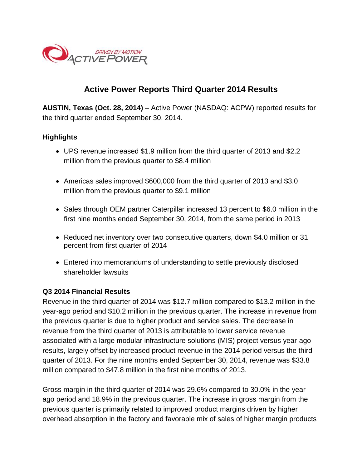

# **Active Power Reports Third Quarter 2014 Results**

**AUSTIN, Texas (Oct. 28, 2014)** – Active Power (NASDAQ: ACPW) reported results for the third quarter ended September 30, 2014.

### **Highlights**

- UPS revenue increased \$1.9 million from the third quarter of 2013 and \$2.2 million from the previous quarter to \$8.4 million
- Americas sales improved \$600,000 from the third quarter of 2013 and \$3.0 million from the previous quarter to \$9.1 million
- Sales through OEM partner Caterpillar increased 13 percent to \$6.0 million in the first nine months ended September 30, 2014, from the same period in 2013
- Reduced net inventory over two consecutive quarters, down \$4.0 million or 31 percent from first quarter of 2014
- Entered into memorandums of understanding to settle previously disclosed shareholder lawsuits

#### **Q3 2014 Financial Results**

Revenue in the third quarter of 2014 was \$12.7 million compared to \$13.2 million in the year-ago period and \$10.2 million in the previous quarter. The increase in revenue from the previous quarter is due to higher product and service sales. The decrease in revenue from the third quarter of 2013 is attributable to lower service revenue associated with a large modular infrastructure solutions (MIS) project versus year-ago results, largely offset by increased product revenue in the 2014 period versus the third quarter of 2013. For the nine months ended September 30, 2014, revenue was \$33.8 million compared to \$47.8 million in the first nine months of 2013.

Gross margin in the third quarter of 2014 was 29.6% compared to 30.0% in the yearago period and 18.9% in the previous quarter. The increase in gross margin from the previous quarter is primarily related to improved product margins driven by higher overhead absorption in the factory and favorable mix of sales of higher margin products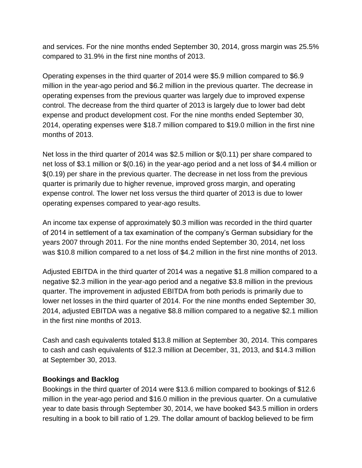and services. For the nine months ended September 30, 2014, gross margin was 25.5% compared to 31.9% in the first nine months of 2013.

Operating expenses in the third quarter of 2014 were \$5.9 million compared to \$6.9 million in the year-ago period and \$6.2 million in the previous quarter. The decrease in operating expenses from the previous quarter was largely due to improved expense control. The decrease from the third quarter of 2013 is largely due to lower bad debt expense and product development cost. For the nine months ended September 30, 2014, operating expenses were \$18.7 million compared to \$19.0 million in the first nine months of 2013.

Net loss in the third quarter of 2014 was \$2.5 million or \$(0.11) per share compared to net loss of \$3.1 million or \$(0.16) in the year-ago period and a net loss of \$4.4 million or \$(0.19) per share in the previous quarter. The decrease in net loss from the previous quarter is primarily due to higher revenue, improved gross margin, and operating expense control. The lower net loss versus the third quarter of 2013 is due to lower operating expenses compared to year-ago results.

An income tax expense of approximately \$0.3 million was recorded in the third quarter of 2014 in settlement of a tax examination of the company's German subsidiary for the years 2007 through 2011. For the nine months ended September 30, 2014, net loss was \$10.8 million compared to a net loss of \$4.2 million in the first nine months of 2013.

Adjusted EBITDA in the third quarter of 2014 was a negative \$1.8 million compared to a negative \$2.3 million in the year-ago period and a negative \$3.8 million in the previous quarter. The improvement in adjusted EBITDA from both periods is primarily due to lower net losses in the third quarter of 2014. For the nine months ended September 30, 2014, adjusted EBITDA was a negative \$8.8 million compared to a negative \$2.1 million in the first nine months of 2013.

Cash and cash equivalents totaled \$13.8 million at September 30, 2014. This compares to cash and cash equivalents of \$12.3 million at December, 31, 2013, and \$14.3 million at September 30, 2013.

#### **Bookings and Backlog**

Bookings in the third quarter of 2014 were \$13.6 million compared to bookings of \$12.6 million in the year-ago period and \$16.0 million in the previous quarter. On a cumulative year to date basis through September 30, 2014, we have booked \$43.5 million in orders resulting in a book to bill ratio of 1.29. The dollar amount of backlog believed to be firm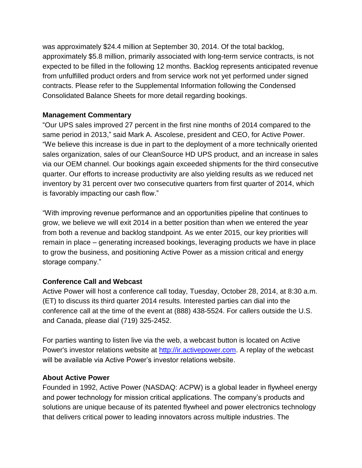was approximately \$24.4 million at September 30, 2014. Of the total backlog, approximately \$5.8 million, primarily associated with long-term service contracts, is not expected to be filled in the following 12 months. Backlog represents anticipated revenue from unfulfilled product orders and from service work not yet performed under signed contracts. Please refer to the Supplemental Information following the Condensed Consolidated Balance Sheets for more detail regarding bookings.

## **Management Commentary**

"Our UPS sales improved 27 percent in the first nine months of 2014 compared to the same period in 2013," said Mark A. Ascolese, president and CEO, for Active Power. "We believe this increase is due in part to the deployment of a more technically oriented sales organization, sales of our CleanSource HD UPS product, and an increase in sales via our OEM channel. Our bookings again exceeded shipments for the third consecutive quarter. Our efforts to increase productivity are also yielding results as we reduced net inventory by 31 percent over two consecutive quarters from first quarter of 2014, which is favorably impacting our cash flow."

"With improving revenue performance and an opportunities pipeline that continues to grow, we believe we will exit 2014 in a better position than when we entered the year from both a revenue and backlog standpoint. As we enter 2015, our key priorities will remain in place – generating increased bookings, leveraging products we have in place to grow the business, and positioning Active Power as a mission critical and energy storage company."

# **Conference Call and Webcast**

Active Power will host a conference call today, Tuesday, October 28, 2014, at 8:30 a.m. (ET) to discuss its third quarter 2014 results. Interested parties can dial into the conference call at the time of the event at (888) 438-5524. For callers outside the U.S. and Canada, please dial (719) 325-2452.

For parties wanting to listen live via the web, a webcast button is located on Active Power's investor relations website at [http://ir.activepower.com.](http://ir.activepower.com/) A replay of the webcast will be available via Active Power's investor relations website.

# **About Active Power**

Founded in 1992, Active Power (NASDAQ: ACPW) is a global leader in flywheel energy and power technology for mission critical applications. The company's products and solutions are unique because of its patented flywheel and power electronics technology that delivers critical power to leading innovators across multiple industries. The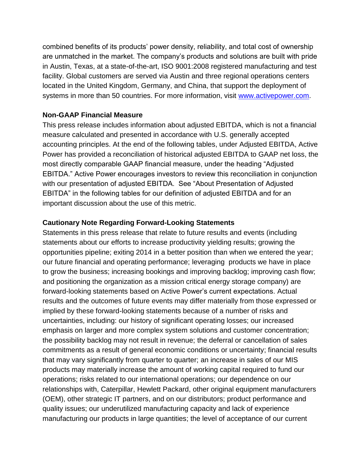combined benefits of its products' power density, reliability, and total cost of ownership are unmatched in the market. The company's products and solutions are built with pride in Austin, Texas, at a state-of-the-art, ISO 9001:2008 registered manufacturing and test facility. Global customers are served via Austin and three regional operations centers located in the United Kingdom, Germany, and China, that support the deployment of systems in more than 50 countries. For more information, visit [www.activepower.com.](http://www.activepower.com/)

### **Non-GAAP Financial Measure**

This press release includes information about adjusted EBITDA, which is not a financial measure calculated and presented in accordance with U.S. generally accepted accounting principles. At the end of the following tables, under Adjusted EBITDA, Active Power has provided a reconciliation of historical adjusted EBITDA to GAAP net loss, the most directly comparable GAAP financial measure, under the heading "Adjusted EBITDA." Active Power encourages investors to review this reconciliation in conjunction with our presentation of adjusted EBITDA. See "About Presentation of Adjusted EBITDA" in the following tables for our definition of adjusted EBITDA and for an important discussion about the use of this metric.

### **Cautionary Note Regarding Forward-Looking Statements**

Statements in this press release that relate to future results and events (including statements about our efforts to increase productivity yielding results; growing the opportunities pipeline; exiting 2014 in a better position than when we entered the year; our future financial and operating performance; leveraging products we have in place to grow the business; increasing bookings and improving backlog; improving cash flow; and positioning the organization as a mission critical energy storage company) are forward-looking statements based on Active Power's current expectations. Actual results and the outcomes of future events may differ materially from those expressed or implied by these forward-looking statements because of a number of risks and uncertainties, including: our history of significant operating losses; our increased emphasis on larger and more complex system solutions and customer concentration; the possibility backlog may not result in revenue; the deferral or cancellation of sales commitments as a result of general economic conditions or uncertainty; financial results that may vary significantly from quarter to quarter; an increase in sales of our MIS products may materially increase the amount of working capital required to fund our operations; risks related to our international operations; our dependence on our relationships with, Caterpillar, Hewlett Packard, other original equipment manufacturers (OEM), other strategic IT partners, and on our distributors; product performance and quality issues; our underutilized manufacturing capacity and lack of experience manufacturing our products in large quantities; the level of acceptance of our current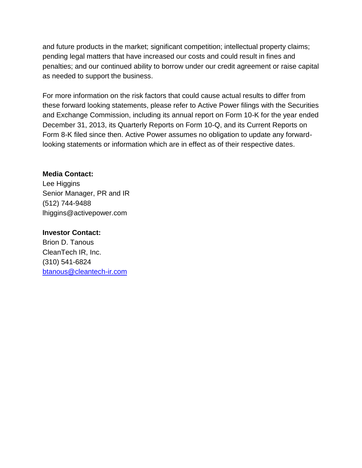and future products in the market; significant competition; intellectual property claims; pending legal matters that have increased our costs and could result in fines and penalties; and our continued ability to borrow under our credit agreement or raise capital as needed to support the business.

For more information on the risk factors that could cause actual results to differ from these forward looking statements, please refer to Active Power filings with the Securities and Exchange Commission, including its annual report on Form 10-K for the year ended December 31, 2013, its Quarterly Reports on Form 10-Q, and its Current Reports on Form 8-K filed since then. Active Power assumes no obligation to update any forwardlooking statements or information which are in effect as of their respective dates.

### **Media Contact:**

Lee Higgins Senior Manager, PR and IR (512) 744-9488 lhiggins@activepower.com

### **Investor Contact:**

Brion D. Tanous CleanTech IR, Inc. (310) 541-6824 [btanous@cleantech-ir.com](mailto:btanous@cleantech-ir.com)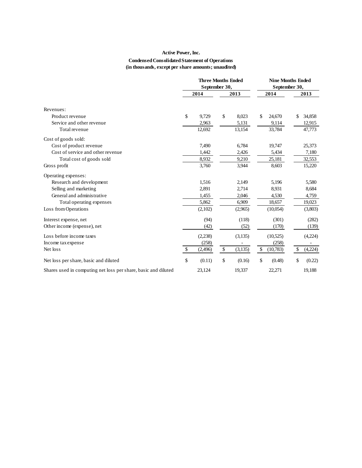#### **Active Power, Inc. Condensed Consolidated Statement of Operations (in thousands, except per share amounts; unaudited)**

|                                                                | <b>Three Months Ended</b><br>September 30, |               | <b>Nine Months Ended</b><br>September 30, |               |
|----------------------------------------------------------------|--------------------------------------------|---------------|-------------------------------------------|---------------|
|                                                                | 2014                                       | 2013          | 2014                                      | 2013          |
| Revenues:                                                      |                                            |               |                                           |               |
| Product revenue                                                | \$<br>9,729                                | \$<br>8,023   | \$<br>24,670                              | \$<br>34,858  |
| Service and other revenue                                      | 2,963                                      | 5,131         | 9,114                                     | 12,915        |
| Total revenue                                                  | 12,692                                     | 13,154        | 33,784                                    | 47,773        |
| Cost of goods sold:                                            |                                            |               |                                           |               |
| Cost of product revenue                                        | 7,490                                      | 6,784         | 19,747                                    | 25,373        |
| Cost of service and other revenue                              | 1,442                                      | 2,426         | 5,434                                     | 7,180         |
| Total cost of goods sold                                       | 8,932                                      | 9,210         | 25,181                                    | 32,553        |
| Gross profit                                                   | 3,760                                      | 3,944         | 8,603                                     | 15,220        |
| Operating expenses:                                            |                                            |               |                                           |               |
| Research and development                                       | 1,516                                      | 2,149         | 5,196                                     | 5,580         |
| Selling and marketing                                          | 2,891                                      | 2,714         | 8,931                                     | 8,684         |
| General and administrative                                     | 1,455                                      | 2,046         | 4,530                                     | 4,759         |
| Total operating expenses                                       | 5,862                                      | 6,909         | 18,657                                    | 19,023        |
| Loss from Operations                                           | (2,102)                                    | (2,965)       | (10,054)                                  | (3,803)       |
| Interest expense, net                                          | (94)                                       | (118)         | (301)                                     | (282)         |
| Other income (expense), net                                    | (42)                                       | (52)          | (170)                                     | (139)         |
| Loss before income taxes                                       | (2,238)                                    | (3,135)       | (10,525)                                  | (4,224)       |
| Income tax expense                                             | (258)                                      |               | (258)                                     | ۰             |
| Net loss                                                       | \$<br>(2,496)                              | \$<br>(3,135) | \$<br>(10,783)                            | \$<br>(4,224) |
| Net loss per share, basic and diluted                          | \$<br>(0.11)                               | \$<br>(0.16)  | \$<br>(0.48)                              | \$<br>(0.22)  |
| Shares used in computing net loss per share, basic and diluted | 23,124                                     | 19,337        | 22,271                                    | 19,188        |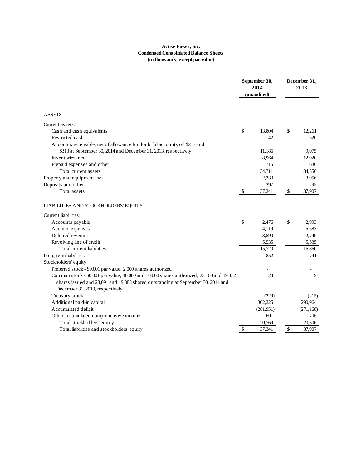#### **Active Power, Inc. Condensed Consolidated Balance Sheets (in thousands, except par value)**

|                                                                                          |               | September 30,<br>2014<br>(unaudited) |      | December 31,<br>2013 |
|------------------------------------------------------------------------------------------|---------------|--------------------------------------|------|----------------------|
| <b>ASSETS</b>                                                                            |               |                                      |      |                      |
| Current assets:                                                                          |               |                                      |      |                      |
| Cash and cash equivalents                                                                | \$            | 13,804                               | \$   | 12.261               |
| Restricted cash                                                                          |               | 42                                   |      | 520                  |
| Accounts receivable, net of allowance for doubtful accounts of \$217 and                 |               |                                      |      |                      |
| \$313 at September 30, 2014 and December 31, 2013, respectively                          |               | 11,186                               |      | 9,075                |
| Inventories, net                                                                         |               | 8,964                                |      | 12,020               |
| Prepaid expenses and other                                                               |               | 715                                  |      | 680                  |
| Total current assets                                                                     |               | 34,711                               |      | 34,556               |
| Property and equipment, net                                                              |               | 2,333                                |      | 3,056                |
| Deposits and other                                                                       |               | 297                                  |      | 295                  |
| Total assets                                                                             | \$            | 37,341                               | $\$$ | 37,907               |
| LIABILITIES AND STOCKHOLDERS' EQUITY                                                     |               |                                      |      |                      |
| Current liabilities:                                                                     |               |                                      |      |                      |
| Accounts payable                                                                         | \$            | 2,476                                | \$   | 2,993                |
| Accrued expenses                                                                         |               | 4,119                                |      | 5,583                |
| Deferred revenue                                                                         |               | 3,590                                |      | 2,749                |
| Revolving line of credit                                                                 |               | 5,535                                |      | 5,535                |
| Total current liabilities                                                                |               | 15,720                               |      | 16,860               |
| Long-term liabilities                                                                    |               | 852                                  |      | 741                  |
| Stockholders' equity                                                                     |               |                                      |      |                      |
| Preferred stock - \$0.001 par value; 2,000 shares authorized                             |               |                                      |      |                      |
| Common stock - \$0.001 par value; 40,000 and 30,000 shares authorized; 23,160 and 19,452 |               | 23                                   |      | 19                   |
| shares issued and 23,091 and 19,388 shared outstanding at September 30, 2014 and         |               |                                      |      |                      |
| December 31, 2013, respectively                                                          |               |                                      |      |                      |
| Treasury stock                                                                           |               | (229)                                |      | (215)                |
| Additional paid-in capital                                                               |               | 302,325                              |      | 290,964              |
| Accumulated deficit                                                                      |               | (281,951)                            |      | (271, 168)           |
| Other accumulated comprehensive income                                                   |               | 601                                  |      | 706                  |
| Total stockholders' equity                                                               |               | 20,769                               |      | 20,306               |
| Total liabilities and stockholders' equity                                               | $\mathcal{S}$ | 37,341                               | \$   | 37,907               |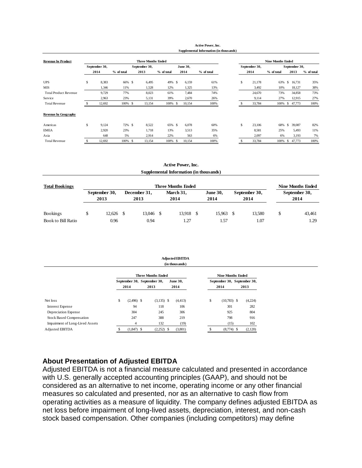|                              |               |            |                           |            |               |          | <b>Active Power, Inc.</b>               |    |               |                          |     |               |            |
|------------------------------|---------------|------------|---------------------------|------------|---------------|----------|-----------------------------------------|----|---------------|--------------------------|-----|---------------|------------|
|                              |               |            |                           |            |               |          | Supplemental Information (in thousands) |    |               |                          |     |               |            |
| <b>Revenue by Product</b>    |               |            | <b>Three Months Ended</b> |            |               |          |                                         |    |               | <b>Nine Months Ended</b> |     |               |            |
|                              | September 30, |            | September 30,             |            |               | June 30, |                                         |    | September 30, |                          |     | September 30, |            |
|                              | 2014          | % of total | 2013                      | % of total |               | 2014     | % of total                              |    | 2014          | % of total               |     | 2013          | % of total |
| <b>UPS</b>                   | \$<br>8,383   | 66% \$     | 6,495                     | 49%        | <sup>\$</sup> | 6,159    | 61%                                     | \$ | 21,178        | 63%                      | \$. | 16,731        | 35%        |
| <b>MIS</b>                   | 1,346         | 11%        | 1,528                     | 12%        |               | 1,325    | 13%                                     |    | 3,492         | 10%                      |     | 18,127        | 38%        |
| <b>Total Product Revenue</b> | 9,729         | 77%        | 8,023                     | 61%        |               | 7,484    | 74%                                     |    | 24,670        | 73%                      |     | 34,858        | 73%        |
| Service                      | 2,963         | 23%        | 5,131                     | 39%        |               | 2,670    | 26%                                     |    | 9,114         | 27%                      |     | 12,915        | 27%        |
| <b>Total Revenue</b>         | 12,692        | 100% \$    | 13,154                    | 100%       | -S            | 10,154   | 100%                                    |    | 33,784        | 100%                     | S.  | 47,773        | 100%       |
| <b>Revenue by Geography</b>  |               |            |                           |            |               |          |                                         |    |               |                          |     |               |            |
| Americas                     | \$<br>9,124   | 72% \$     | 8,522                     | 65% \$     |               | 6,078    | 60%                                     | \$ | 23,106        | 68%                      | \$. | 39,087        | 82%        |
| <b>EMEA</b>                  | 2,920         | 23%        | 1,718                     | 13%        |               | 3,513    | 35%                                     |    | 8,581         | 25%                      |     | 5,493         | 11%        |
| Asia                         | 648           | 5%         | 2,914                     | 22%        |               | 563      | 6%                                      |    | 2,097         | 6%                       |     | 3,193         | 7%         |
| <b>Total Revenue</b>         | 12,692        | 100% \$    | 13,154                    | 100%       | -S            | 10,154   | 100%                                    |    | 33,784        | 100%                     | S   | 47,773        | 100%       |

**Active Power, Inc.**

|                       |                       |                      | <b>Active Power, Inc.</b>               |      |                         |    |                       |                          |
|-----------------------|-----------------------|----------------------|-----------------------------------------|------|-------------------------|----|-----------------------|--------------------------|
|                       |                       |                      | Supplemental Information (in thousands) |      |                         |    |                       |                          |
| <b>Total Bookings</b> |                       |                      | <b>Three Months Ended</b>               |      |                         |    |                       | <b>Nine Months Ended</b> |
|                       | September 30,<br>2013 | December 31,<br>2013 | March 31,<br>2014                       |      | <b>June 30,</b><br>2014 |    | September 30,<br>2014 | September 30,<br>2014    |
| Bookings              | \$<br>$12,626$ \$     | 13,046 \$            | 13,918                                  | - \$ | 15,963                  | -S | 13,580                | \$<br>43,461             |
| Book to Bill Ratio    | 0.96                  | 0.94                 | 1.27                                    |      | 1.57                    |    | 1.07                  | 1.29                     |

|                                 | <b>Adjusted EBITDA</b><br>(in thousands) |                             |  |                           |                 |          |                          |               |  |                             |  |
|---------------------------------|------------------------------------------|-----------------------------|--|---------------------------|-----------------|----------|--------------------------|---------------|--|-----------------------------|--|
|                                 |                                          |                             |  | <b>Three Months Ended</b> |                 |          | <b>Nine Months Ended</b> |               |  |                             |  |
|                                 |                                          | September 30, September 30, |  |                           | <b>June 30,</b> |          |                          |               |  | September 30, September 30, |  |
|                                 |                                          | 2014                        |  | 2013                      |                 | 2014     |                          | 2014          |  | 2013                        |  |
| Net loss                        | \$                                       | $(2,496)$ \$                |  | $(3,135)$ \$              |                 | (4, 413) | \$                       | $(10,783)$ \$ |  | (4,224)                     |  |
| Interest Expense                |                                          | 94                          |  | 118                       |                 | 106      |                          | 301           |  | 282                         |  |
| Depreciation Expense            |                                          | 304                         |  | 245                       |                 | 306      |                          | 925           |  | 804                         |  |
| <b>Stock Based Compensation</b> |                                          | 247                         |  | 388                       |                 | 219      |                          | 798           |  | 916                         |  |
| Impairment of Long-Lived Assets |                                          | $\overline{4}$              |  | 132                       |                 | (19)     |                          | (15)          |  | 102                         |  |
| <b>Adjusted EBITDA</b>          | \$                                       | $(1,847)$ \$                |  | $(2,252)$ \$              |                 | (3,801)  | s                        | $(8,774)$ \$  |  | (2,120)                     |  |

#### **About Presentation of Adjusted EBITDA**

Adjusted EBITDA is not a financial measure calculated and presented in accordance with U.S. generally accepted accounting principles (GAAP), and should not be considered as an alternative to net income, operating income or any other financial measures so calculated and presented, nor as an alternative to cash flow from operating activities as a measure of liquidity. The company defines adjusted EBITDA as net loss before impairment of long-lived assets, depreciation, interest, and non-cash stock based compensation. Other companies (including competitors) may define